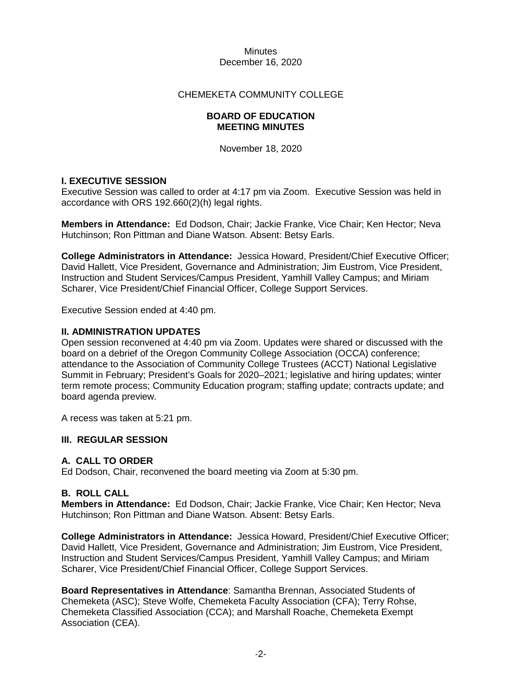#### CHEMEKETA COMMUNITY COLLEGE

#### **BOARD OF EDUCATION MEETING MINUTES**

November 18, 2020

# **I. EXECUTIVE SESSION**

Executive Session was called to order at 4:17 pm via Zoom. Executive Session was held in accordance with ORS 192.660(2)(h) legal rights.

**Members in Attendance:** Ed Dodson, Chair; Jackie Franke, Vice Chair; Ken Hector; Neva Hutchinson; Ron Pittman and Diane Watson. Absent: Betsy Earls.

**College Administrators in Attendance:** Jessica Howard, President/Chief Executive Officer; David Hallett, Vice President, Governance and Administration; Jim Eustrom, Vice President, Instruction and Student Services/Campus President, Yamhill Valley Campus; and Miriam Scharer, Vice President/Chief Financial Officer, College Support Services.

Executive Session ended at 4:40 pm.

#### **II. ADMINISTRATION UPDATES**

Open session reconvened at 4:40 pm via Zoom. Updates were shared or discussed with the board on a debrief of the Oregon Community College Association (OCCA) conference; attendance to the Association of Community College Trustees (ACCT) National Legislative Summit in February; President's Goals for 2020–2021; legislative and hiring updates; winter term remote process; Community Education program; staffing update; contracts update; and board agenda preview.

A recess was taken at 5:21 pm.

#### **III. REGULAR SESSION**

# **A. CALL TO ORDER**

Ed Dodson, Chair, reconvened the board meeting via Zoom at 5:30 pm.

#### **B. ROLL CALL**

**Members in Attendance:** Ed Dodson, Chair; Jackie Franke, Vice Chair; Ken Hector; Neva Hutchinson; Ron Pittman and Diane Watson. Absent: Betsy Earls.

**College Administrators in Attendance:** Jessica Howard, President/Chief Executive Officer; David Hallett, Vice President, Governance and Administration; Jim Eustrom, Vice President, Instruction and Student Services/Campus President, Yamhill Valley Campus; and Miriam Scharer, Vice President/Chief Financial Officer, College Support Services.

**Board Representatives in Attendance**: Samantha Brennan, Associated Students of Chemeketa (ASC); Steve Wolfe, Chemeketa Faculty Association (CFA); Terry Rohse, Chemeketa Classified Association (CCA); and Marshall Roache, Chemeketa Exempt Association (CEA).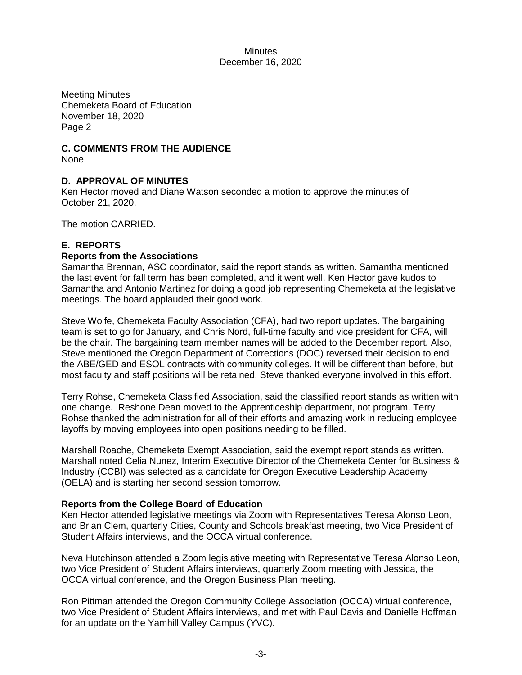Meeting Minutes Chemeketa Board of Education November 18, 2020 Page 2

# **C. COMMENTS FROM THE AUDIENCE**

None

# **D. APPROVAL OF MINUTES**

Ken Hector moved and Diane Watson seconded a motion to approve the minutes of October 21, 2020.

The motion CARRIED.

# **E. REPORTS**

# **Reports from the Associations**

Samantha Brennan, ASC coordinator, said the report stands as written. Samantha mentioned the last event for fall term has been completed, and it went well. Ken Hector gave kudos to Samantha and Antonio Martinez for doing a good job representing Chemeketa at the legislative meetings. The board applauded their good work.

Steve Wolfe, Chemeketa Faculty Association (CFA), had two report updates. The bargaining team is set to go for January, and Chris Nord, full-time faculty and vice president for CFA, will be the chair. The bargaining team member names will be added to the December report. Also, Steve mentioned the Oregon Department of Corrections (DOC) reversed their decision to end the ABE/GED and ESOL contracts with community colleges. It will be different than before, but most faculty and staff positions will be retained. Steve thanked everyone involved in this effort.

Terry Rohse, Chemeketa Classified Association, said the classified report stands as written with one change. Reshone Dean moved to the Apprenticeship department, not program. Terry Rohse thanked the administration for all of their efforts and amazing work in reducing employee layoffs by moving employees into open positions needing to be filled.

Marshall Roache, Chemeketa Exempt Association, said the exempt report stands as written. Marshall noted Celia Nunez, Interim Executive Director of the Chemeketa Center for Business & Industry (CCBI) was selected as a candidate for Oregon Executive Leadership Academy (OELA) and is starting her second session tomorrow.

# **Reports from the College Board of Education**

Ken Hector attended legislative meetings via Zoom with Representatives Teresa Alonso Leon, and Brian Clem, quarterly Cities, County and Schools breakfast meeting, two Vice President of Student Affairs interviews, and the OCCA virtual conference.

Neva Hutchinson attended a Zoom legislative meeting with Representative Teresa Alonso Leon, two Vice President of Student Affairs interviews, quarterly Zoom meeting with Jessica, the OCCA virtual conference, and the Oregon Business Plan meeting.

Ron Pittman attended the Oregon Community College Association (OCCA) virtual conference, two Vice President of Student Affairs interviews, and met with Paul Davis and Danielle Hoffman for an update on the Yamhill Valley Campus (YVC).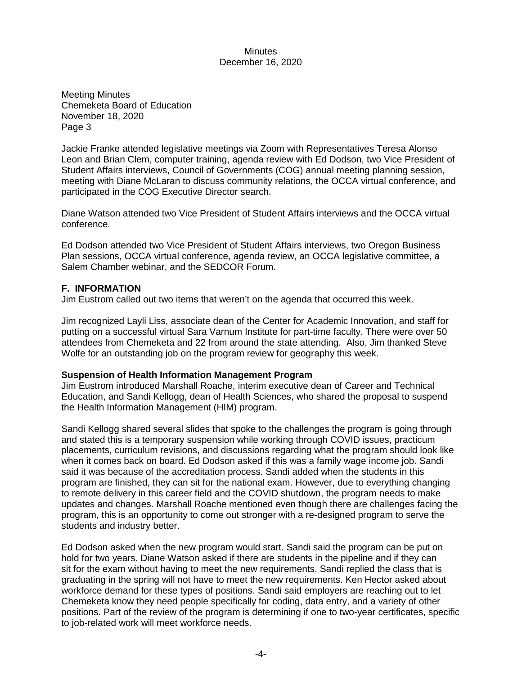Meeting Minutes Chemeketa Board of Education November 18, 2020 Page 3

Jackie Franke attended legislative meetings via Zoom with Representatives Teresa Alonso Leon and Brian Clem, computer training, agenda review with Ed Dodson, two Vice President of Student Affairs interviews, Council of Governments (COG) annual meeting planning session, meeting with Diane McLaran to discuss community relations, the OCCA virtual conference, and participated in the COG Executive Director search.

Diane Watson attended two Vice President of Student Affairs interviews and the OCCA virtual conference.

Ed Dodson attended two Vice President of Student Affairs interviews, two Oregon Business Plan sessions, OCCA virtual conference, agenda review, an OCCA legislative committee, a Salem Chamber webinar, and the SEDCOR Forum.

# **F. INFORMATION**

Jim Eustrom called out two items that weren't on the agenda that occurred this week.

Jim recognized Layli Liss, associate dean of the Center for Academic Innovation, and staff for putting on a successful virtual Sara Varnum Institute for part-time faculty. There were over 50 attendees from Chemeketa and 22 from around the state attending. Also, Jim thanked Steve Wolfe for an outstanding job on the program review for geography this week.

#### **Suspension of Health Information Management Program**

Jim Eustrom introduced Marshall Roache, interim executive dean of Career and Technical Education, and Sandi Kellogg, dean of Health Sciences, who shared the proposal to suspend the Health Information Management (HIM) program.

Sandi Kellogg shared several slides that spoke to the challenges the program is going through and stated this is a temporary suspension while working through COVID issues, practicum placements, curriculum revisions, and discussions regarding what the program should look like when it comes back on board. Ed Dodson asked if this was a family wage income job. Sandi said it was because of the accreditation process. Sandi added when the students in this program are finished, they can sit for the national exam. However, due to everything changing to remote delivery in this career field and the COVID shutdown, the program needs to make updates and changes. Marshall Roache mentioned even though there are challenges facing the program, this is an opportunity to come out stronger with a re-designed program to serve the students and industry better.

Ed Dodson asked when the new program would start. Sandi said the program can be put on hold for two years. Diane Watson asked if there are students in the pipeline and if they can sit for the exam without having to meet the new requirements. Sandi replied the class that is graduating in the spring will not have to meet the new requirements. Ken Hector asked about workforce demand for these types of positions. Sandi said employers are reaching out to let Chemeketa know they need people specifically for coding, data entry, and a variety of other positions. Part of the review of the program is determining if one to two-year certificates, specific to job-related work will meet workforce needs.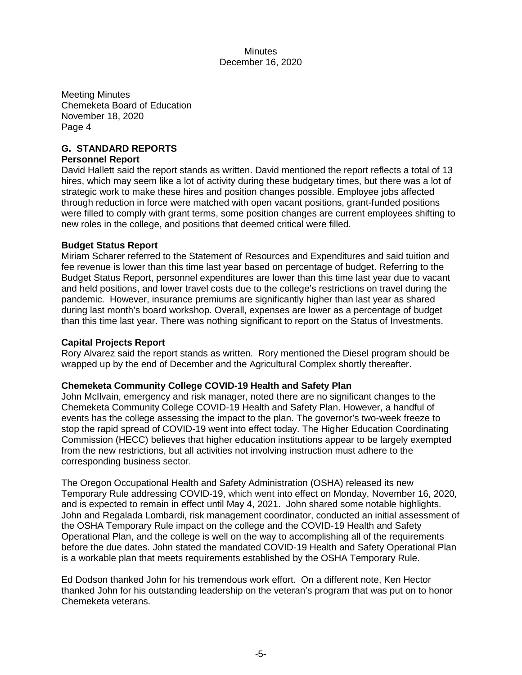Meeting Minutes Chemeketa Board of Education November 18, 2020 Page 4

# **G. STANDARD REPORTS**

# **Personnel Report**

David Hallett said the report stands as written. David mentioned the report reflects a total of 13 hires, which may seem like a lot of activity during these budgetary times, but there was a lot of strategic work to make these hires and position changes possible. Employee jobs affected through reduction in force were matched with open vacant positions, grant-funded positions were filled to comply with grant terms, some position changes are current employees shifting to new roles in the college, and positions that deemed critical were filled.

# **Budget Status Report**

Miriam Scharer referred to the Statement of Resources and Expenditures and said tuition and fee revenue is lower than this time last year based on percentage of budget. Referring to the Budget Status Report, personnel expenditures are lower than this time last year due to vacant and held positions, and lower travel costs due to the college's restrictions on travel during the pandemic. However, insurance premiums are significantly higher than last year as shared during last month's board workshop. Overall, expenses are lower as a percentage of budget than this time last year. There was nothing significant to report on the Status of Investments.

#### **Capital Projects Report**

Rory Alvarez said the report stands as written. Rory mentioned the Diesel program should be wrapped up by the end of December and the Agricultural Complex shortly thereafter.

#### **Chemeketa Community College COVID-19 Health and Safety Plan**

John McIlvain, emergency and risk manager, noted there are no significant changes to the Chemeketa Community College COVID-19 Health and Safety Plan. However, a handful of events has the college assessing the impact to the plan. The governor's two-week freeze to stop the rapid spread of COVID-19 went into effect today. The Higher Education Coordinating Commission (HECC) believes that higher education institutions appear to be largely exempted from the new restrictions, but all activities not involving instruction must adhere to the corresponding business sector.

The Oregon Occupational Health and Safety Administration (OSHA) released its new Temporary Rule addressing COVID-19, which went into effect on Monday, November 16, 2020, and is expected to remain in effect until May 4, 2021. John shared some notable highlights. John and Regalada Lombardi, risk management coordinator, conducted an initial assessment of the OSHA Temporary Rule impact on the college and the COVID-19 Health and Safety Operational Plan, and the college is well on the way to accomplishing all of the requirements before the due dates. John stated the mandated COVID-19 Health and Safety Operational Plan is a workable plan that meets requirements established by the OSHA Temporary Rule.

Ed Dodson thanked John for his tremendous work effort. On a different note, Ken Hector thanked John for his outstanding leadership on the veteran's program that was put on to honor Chemeketa veterans.